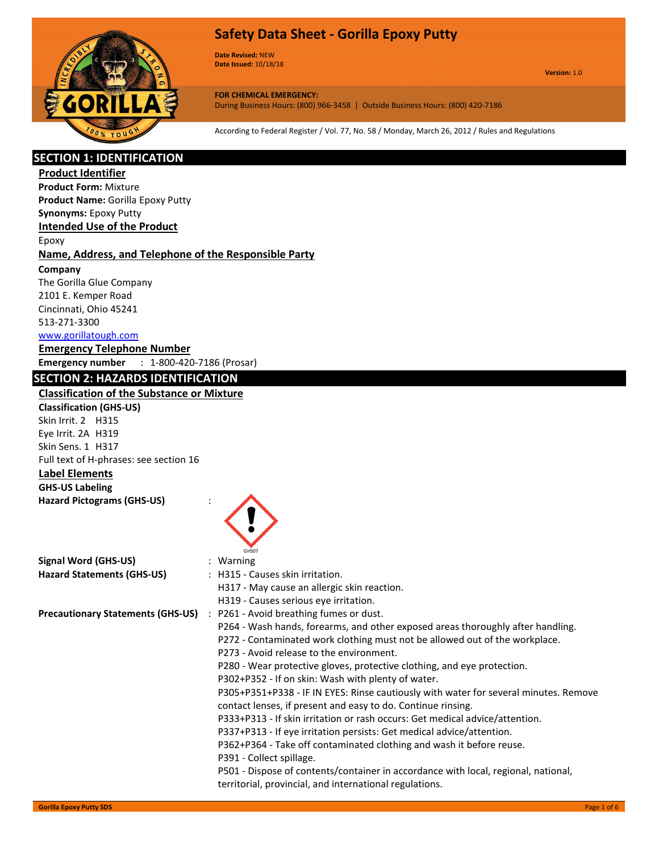

**Date Revised:** NEW **Date Issued:** 10/18/18

**Version:** 1.0

**FOR CHEMICAL EMERGENCY:** During Business Hours: (800) 966-3458 | Outside Business Hours: (800) 420-7186

According to Federal Register / Vol. 77, No. 58 / Monday, March 26, 2012 / Rules and Regulations

## **SECTION 1: IDENTIFICATION**

**Product Identifier Product Form:** Mixture

**Product Name:** Gorilla Epoxy Putty

## **Synonyms:** Epoxy Putty

**Intended Use of the Product**

Epoxy

## **Name, Address, and Telephone of the Responsible Party**

**Company** 

The Gorilla Glue Company 2101 E. Kemper Road Cincinnati, Ohio 45241 513-271-3300 www.gorillatough.com

#### **Emergency Telephone Number**

**Emergency number** : 1-800-420-7186 (Prosar)

## **SECTION 2: HAZARDS IDENTIFICATION**

## **Classification of the Substance or Mixture**

**Classification (GHS-US)** Skin Irrit. 2 H315 Eye Irrit. 2A H319 Skin Sens. 1 H317 Full text of H-phrases: see section 16

**Label Elements GHS-US Labeling** 

**Hazard Pictograms (GHS-US)** :

|                                   | GHS07                                                                                |
|-----------------------------------|--------------------------------------------------------------------------------------|
| Signal Word (GHS-US)              | $:$ Warning                                                                          |
| <b>Hazard Statements (GHS-US)</b> | : H315 - Causes skin irritation.                                                     |
|                                   | H317 - May cause an allergic skin reaction.                                          |
|                                   | H319 - Causes serious eye irritation.                                                |
|                                   | Precautionary Statements (GHS-US) : P261 - Avoid breathing fumes or dust.            |
|                                   | P264 - Wash hands, forearms, and other exposed areas thoroughly after handling.      |
|                                   | P272 - Contaminated work clothing must not be allowed out of the workplace.          |
|                                   | P273 - Avoid release to the environment.                                             |
|                                   | P280 - Wear protective gloves, protective clothing, and eye protection.              |
|                                   | P302+P352 - If on skin: Wash with plenty of water.                                   |
|                                   | P305+P351+P338 - IF IN EYES: Rinse cautiously with water for several minutes. Remove |
|                                   | contact lenses, if present and easy to do. Continue rinsing.                         |
|                                   | P333+P313 - If skin irritation or rash occurs: Get medical advice/attention.         |
|                                   | P337+P313 - If eye irritation persists: Get medical advice/attention.                |
|                                   | P362+P364 - Take off contaminated clothing and wash it before reuse.                 |
|                                   | P391 - Collect spillage.                                                             |
|                                   | P501 - Dispose of contents/container in accordance with local, regional, national,   |
|                                   | territorial, provincial, and international regulations.                              |
|                                   |                                                                                      |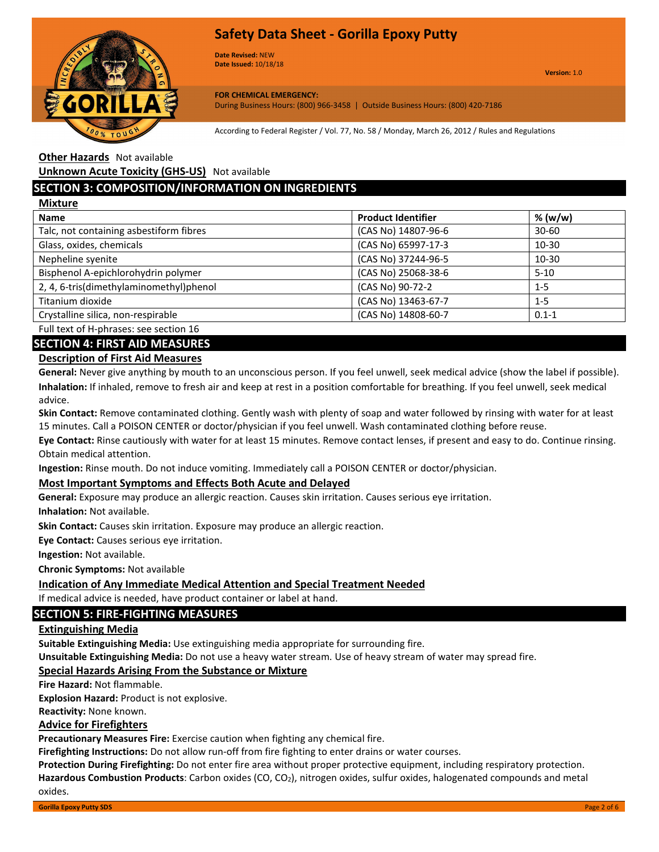

**Date Revised:** NEW **Date Issued:** 10/18/18

**FOR CHEMICAL EMERGENCY:** During Business Hours: (800) 966-3458 | Outside Business Hours: (800) 420-7186

According to Federal Register / Vol. 77, No. 58 / Monday, March 26, 2012 / Rules and Regulations

**Other Hazards** Not available

**Unknown Acute Toxicity (GHS-US)** Not available

## **SECTION 3: COMPOSITION/INFORMATION ON INGREDIENTS**

| <b>Mixture</b>                          |                           |           |
|-----------------------------------------|---------------------------|-----------|
| <b>Name</b>                             | <b>Product Identifier</b> | % (w/w)   |
| Talc, not containing asbestiform fibres | (CAS No) 14807-96-6       | $30 - 60$ |
| Glass, oxides, chemicals                | (CAS No) 65997-17-3       | $10 - 30$ |
| Nepheline syenite                       | (CAS No) 37244-96-5       | $10-30$   |
| Bisphenol A-epichlorohydrin polymer     | (CAS No) 25068-38-6       | $5-10$    |
| 2, 4, 6-tris(dimethylaminomethyl)phenol | (CAS No) 90-72-2          | $1 - 5$   |
| Titanium dioxide                        | (CAS No) 13463-67-7       | $1 - 5$   |
| Crystalline silica, non-respirable      | (CAS No) 14808-60-7       | $0.1 - 1$ |
|                                         |                           |           |

Full text of H-phrases: see section 16

**SECTION 4: FIRST AID MEASURES**

#### **Description of First Aid Measures**

**General:** Never give anything by mouth to an unconscious person. If you feel unwell, seek medical advice (show the label if possible). **Inhalation:** If inhaled, remove to fresh air and keep at rest in a position comfortable for breathing. If you feel unwell, seek medical advice.

**Skin Contact:** Remove contaminated clothing. Gently wash with plenty of soap and water followed by rinsing with water for at least 15 minutes. Call a POISON CENTER or doctor/physician if you feel unwell. Wash contaminated clothing before reuse.

**Eye Contact:** Rinse cautiously with water for at least 15 minutes. Remove contact lenses, if present and easy to do. Continue rinsing. Obtain medical attention.

**Ingestion:** Rinse mouth. Do not induce vomiting. Immediately call a POISON CENTER or doctor/physician.

#### **Most Important Symptoms and Effects Both Acute and Delayed**

**General:** Exposure may produce an allergic reaction. Causes skin irritation. Causes serious eye irritation.

**Inhalation:** Not available.

**Skin Contact:** Causes skin irritation. Exposure may produce an allergic reaction.

**Eye Contact:** Causes serious eye irritation.

**Ingestion:** Not available.

**Chronic Symptoms:** Not available

#### **Indication of Any Immediate Medical Attention and Special Treatment Needed**

If medical advice is needed, have product container or label at hand.

#### **SECTION 5: FIRE-FIGHTING MEASURES**

#### **Extinguishing Media**

**Suitable Extinguishing Media:** Use extinguishing media appropriate for surrounding fire.

**Unsuitable Extinguishing Media:** Do not use a heavy water stream. Use of heavy stream of water may spread fire.

#### **Special Hazards Arising From the Substance or Mixture**

**Fire Hazard:** Not flammable.

**Explosion Hazard:** Product is not explosive.

**Reactivity:** None known.

#### **Advice for Firefighters**

**Precautionary Measures Fire:** Exercise caution when fighting any chemical fire.

**Firefighting Instructions:** Do not allow run-off from fire fighting to enter drains or water courses.

**Protection During Firefighting:** Do not enter fire area without proper protective equipment, including respiratory protection. Hazardous Combustion Products: Carbon oxides (CO, CO<sub>2</sub>), nitrogen oxides, sulfur oxides, halogenated compounds and metal oxides.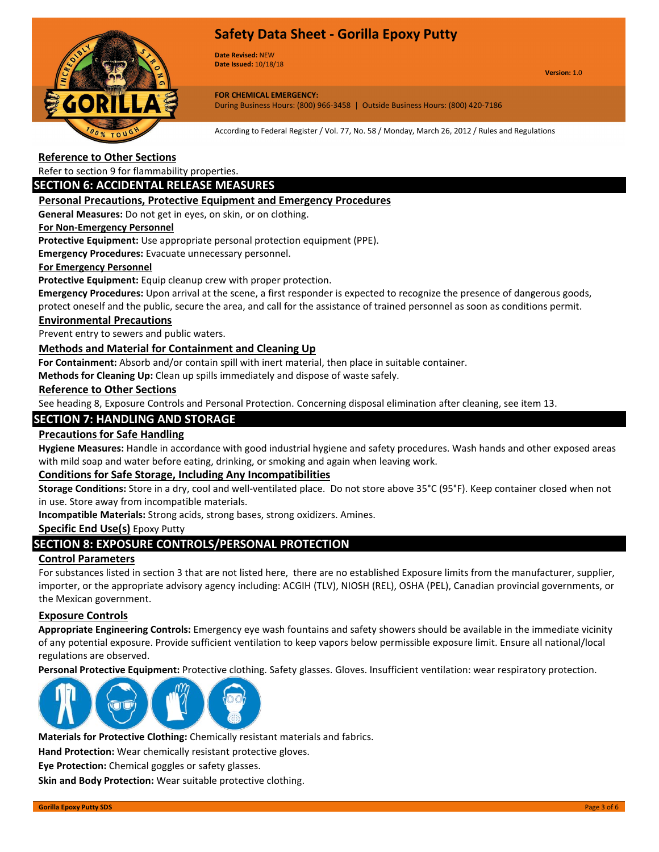

**Date Revised:** NEW **Date Issued:** 10/18/18

**Version:** 1.0

#### **FOR CHEMICAL EMERGENCY:**

During Business Hours: (800) 966-3458 | Outside Business Hours: (800) 420-7186

According to Federal Register / Vol. 77, No. 58 / Monday, March 26, 2012 / Rules and Regulations

## **Reference to Other Sections**

Refer to section 9 for flammability properties.

#### **SECTION 6: ACCIDENTAL RELEASE MEASURES**

#### **Personal Precautions, Protective Equipment and Emergency Procedures**

**General Measures:** Do not get in eyes, on skin, or on clothing.

#### **For Non-Emergency Personnel**

**Protective Equipment:** Use appropriate personal protection equipment (PPE).

**Emergency Procedures:** Evacuate unnecessary personnel.

#### **For Emergency Personnel**

**Protective Equipment:** Equip cleanup crew with proper protection.

**Emergency Procedures:** Upon arrival at the scene, a first responder is expected to recognize the presence of dangerous goods, protect oneself and the public, secure the area, and call for the assistance of trained personnel as soon as conditions permit.

#### **Environmental Precautions**

Prevent entry to sewers and public waters.

#### **Methods and Material for Containment and Cleaning Up**

**For Containment:** Absorb and/or contain spill with inert material, then place in suitable container.

**Methods for Cleaning Up:** Clean up spills immediately and dispose of waste safely.

#### **Reference to Other Sections**

See heading 8, Exposure Controls and Personal Protection. Concerning disposal elimination after cleaning, see item 13.

### **SECTION 7: HANDLING AND STORAGE**

#### **Precautions for Safe Handling**

**Hygiene Measures:** Handle in accordance with good industrial hygiene and safety procedures. Wash hands and other exposed areas with mild soap and water before eating, drinking, or smoking and again when leaving work.

#### **Conditions for Safe Storage, Including Any Incompatibilities**

**Storage Conditions:** Store in a dry, cool and well-ventilated place. Do not store above 35°C (95°F). Keep container closed when not in use. Store away from incompatible materials.

**Incompatible Materials:** Strong acids, strong bases, strong oxidizers. Amines.

#### **Specific End Use(s)** Epoxy Putty

## **SECTION 8: EXPOSURE CONTROLS/PERSONAL PROTECTION**

#### **Control Parameters**

For substances listed in section 3 that are not listed here, there are no established Exposure limits from the manufacturer, supplier, importer, or the appropriate advisory agency including: ACGIH (TLV), NIOSH (REL), OSHA (PEL), Canadian provincial governments, or the Mexican government.

#### **Exposure Controls**

**Appropriate Engineering Controls:** Emergency eye wash fountains and safety showers should be available in the immediate vicinity of any potential exposure. Provide sufficient ventilation to keep vapors below permissible exposure limit. Ensure all national/local regulations are observed.

**Personal Protective Equipment:** Protective clothing. Safety glasses. Gloves. Insufficient ventilation: wear respiratory protection.



**Materials for Protective Clothing:** Chemically resistant materials and fabrics.

**Hand Protection:** Wear chemically resistant protective gloves.

**Eye Protection:** Chemical goggles or safety glasses.

**Skin and Body Protection:** Wear suitable protective clothing.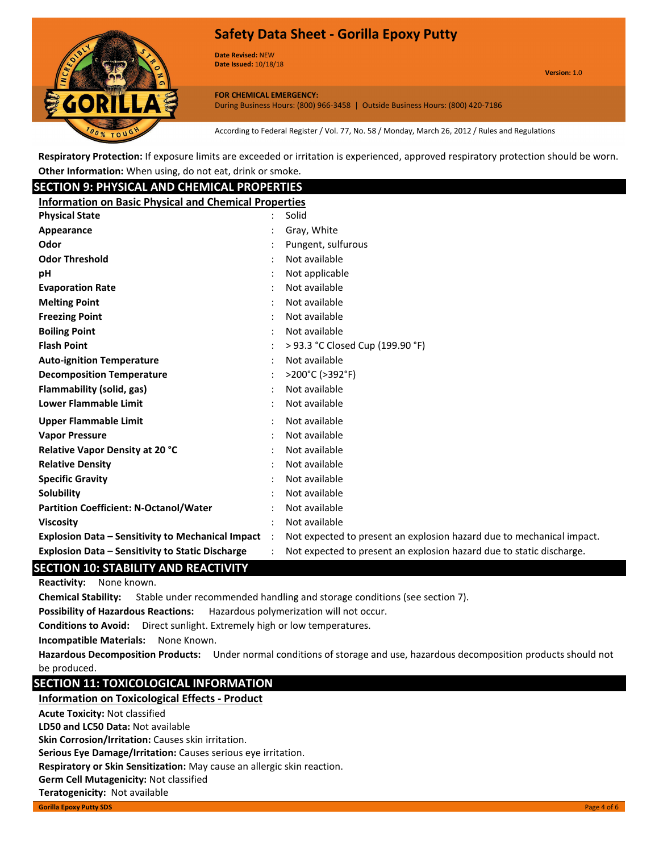

**Date Revised:** NEW **Date Issued:** 10/18/18

**Version:** 1.0

**FOR CHEMICAL EMERGENCY:** During Business Hours: (800) 966-3458 | Outside Business Hours: (800) 420-7186

According to Federal Register / Vol. 77, No. 58 / Monday, March 26, 2012 / Rules and Regulations

**Respiratory Protection:** If exposure limits are exceeded or irritation is experienced, approved respiratory protection should be worn. **Other Information:** When using, do not eat, drink or smoke.

## **SECTION 9: PHYSICAL AND CHEMICAL PROPERTIES**

| <b>Information on Basic Physical and Chemical Properties</b> |           |                                                                       |
|--------------------------------------------------------------|-----------|-----------------------------------------------------------------------|
| <b>Physical State</b>                                        |           | Solid                                                                 |
| Appearance                                                   |           | Gray, White                                                           |
| <b>Odor</b>                                                  |           | Pungent, sulfurous                                                    |
| <b>Odor Threshold</b>                                        |           | Not available                                                         |
| pН                                                           |           | Not applicable                                                        |
| <b>Evaporation Rate</b>                                      |           | Not available                                                         |
| <b>Melting Point</b>                                         |           | Not available                                                         |
| <b>Freezing Point</b>                                        |           | Not available                                                         |
| <b>Boiling Point</b>                                         |           | Not available                                                         |
| <b>Flash Point</b>                                           |           | > 93.3 °C Closed Cup (199.90 °F)                                      |
| <b>Auto-ignition Temperature</b>                             |           | Not available                                                         |
| <b>Decomposition Temperature</b>                             |           | >200°C (>392°F)                                                       |
| Flammability (solid, gas)                                    |           | Not available                                                         |
| <b>Lower Flammable Limit</b>                                 |           | Not available                                                         |
| <b>Upper Flammable Limit</b>                                 |           | Not available                                                         |
| <b>Vapor Pressure</b>                                        |           | Not available                                                         |
| <b>Relative Vapor Density at 20 °C</b>                       |           | Not available                                                         |
| <b>Relative Density</b>                                      |           | Not available                                                         |
| <b>Specific Gravity</b>                                      |           | Not available                                                         |
| Solubility                                                   |           | Not available                                                         |
| <b>Partition Coefficient: N-Octanol/Water</b>                |           | Not available                                                         |
| Viscosity                                                    |           | Not available                                                         |
| <b>Explosion Data – Sensitivity to Mechanical Impact</b>     | $\cdot$ : | Not expected to present an explosion hazard due to mechanical impact. |
| Explosion Data - Sensitivity to Static Discharge             |           | Not expected to present an explosion hazard due to static discharge.  |
| <b>CATION 40. CTADU ITV AND BEACTIVITY</b>                   |           |                                                                       |

## **SECTION 10: STABILITY AND REACTIVITY**

**Reactivity:** None known.

**Chemical Stability:** Stable under recommended handling and storage conditions (see section 7).

**Possibility of Hazardous Reactions:** Hazardous polymerization will not occur.

**Conditions to Avoid:** Direct sunlight. Extremely high or low temperatures.

**Incompatible Materials:** None Known.

**Hazardous Decomposition Products:** Under normal conditions of storage and use, hazardous decomposition products should not be produced.

## **SECTION 11: TOXICOLOGICAL INFORMATION**

#### **Information on Toxicological Effects - Product**

**Acute Toxicity:** Not classified

**Teratogenicity:** Not available

**LD50 and LC50 Data:** Not available

**Skin Corrosion/Irritation:** Causes skin irritation.

**Serious Eye Damage/Irritation:** Causes serious eye irritation.

**Respiratory or Skin Sensitization:** May cause an allergic skin reaction.

**Germ Cell Mutagenicity:** Not classified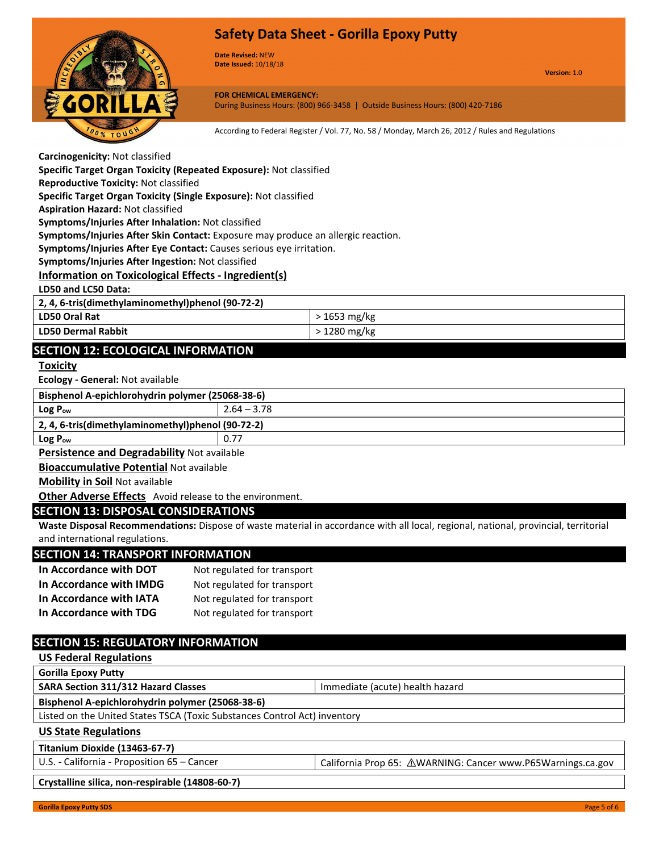

**Date Revised:** NEW **Date Issued:** 10/18/18

**Version:** 1.0

**FOR CHEMICAL EMERGENCY:** During Business Hours: (800) 966-3458 | Outside Business Hours: (800) 420-7186

According to Federal Register / Vol. 77, No. 58 / Monday, March 26, 2012 / Rules and Regulations

| Carcinogenicity: Not classified |  |
|---------------------------------|--|
|---------------------------------|--|

**Specific Target Organ Toxicity (Repeated Exposure):** Not classified

**Reproductive Toxicity:** Not classified

**Specific Target Organ Toxicity (Single Exposure):** Not classified

**Aspiration Hazard:** Not classified

**Symptoms/Injuries After Inhalation:** Not classified

**Symptoms/Injuries After Skin Contact:** Exposure may produce an allergic reaction.

**Symptoms/Injuries After Eye Contact:** Causes serious eye irritation.

**Symptoms/Injuries After Ingestion:** Not classified

#### **Information on Toxicological Effects - Ingredient(s)**

**LD50 and LC50 Data:**

**2, 4, 6-tris(dimethylaminomethyl)phenol (90-72-2)**

| LD50 Oral Rat             | 1653 mg/kg |
|---------------------------|------------|
| <b>LD50 Dermal Rabbit</b> | 1280 mg/kg |

## **SECTION 12: ECOLOGICAL INFORMATION**

#### **Toxicity**

**Ecology - General:** Not available

| Bisphenol A-epichlorohydrin polymer (25068-38-6)  |               |  |
|---------------------------------------------------|---------------|--|
| Log P <sub>ow</sub>                               | $2.64 - 3.78$ |  |
| 2, 4, 6-tris(dimethylaminomethyl)phenol (90-72-2) |               |  |
| $Log P_{ow}$                                      | 0.77          |  |

**Persistence and Degradability** Not available

**Bioaccumulative Potential** Not available

**Mobility in Soil** Not available

**Other Adverse Effects** Avoid release to the environment.

#### **SECTION 13: DISPOSAL CONSIDERATIONS**

**Waste Disposal Recommendations:** Dispose of waste material in accordance with all local, regional, national, provincial, territorial and international regulations.

#### **SECTION 14: TRANSPORT INFORMATION**

| In Accordance with DOT  | Not regulated for transport |
|-------------------------|-----------------------------|
| In Accordance with IMDG | Not regulated for transport |
| In Accordance with IATA | Not regulated for transport |
| In Accordance with TDG  | Not regulated for transport |

## **SECTION 15: REGULATORY INFORMATION**

**US Federal Regulations**

**Gorilla Epoxy Putty**

**SARA Section 311/312 Hazard Classes IMMEDIATE:** Immediate (acute) health hazard

**Bisphenol A-epichlorohydrin polymer (25068-38-6)**

Listed on the United States TSCA (Toxic Substances Control Act) inventory

#### **US State Regulations**

**Titanium Dioxide (13463-67-7)**

U.S. - California - Proposition 65 – Cancer Cancer California Prop 65: ∆WARNING: Cancer www.P65Warnings.ca.gov

**Crystalline silica, non-respirable (14808-60-7)**